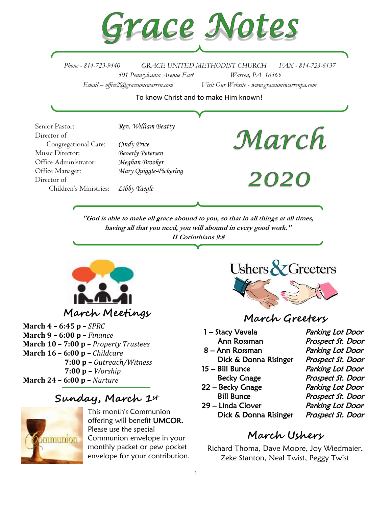

*Phone - 814-723-9440 GRACE UNITED METHODIST CHURCH FAX - 814-723-6137 501 Pennsylvania Avenue East Warren, PA 16365 Email – office2@graceumcwarren.com Visit Our Website - www.graceumcwarrenpa.com* 

To know Christ and to make Him known!

Senior Pastor: *Rev. William Beatty* Director of Congregational Care: *Cindy Price* Music Director: *Beverly Petersen* Office Administrator: *Meghan Brooker* Office Manager: *Mary Quiggle-Pickering* Director of Children's Ministries: *Libby Yaegle*

2020

March

**"God is able to make all grace abound to you, so that in all things at all times, having all that you need, you will abound in every good work." II Corinthians 9:8**



**March 4 – 6:45 p –** *SPRC* **March 9 – 6:00 p –** *Finance*  **March 10 – 7:00 p –** *Property Trustees* **March 16 – 6:00 p –** *Childcare* **7:00 p –** *Outreach/Witness* **7:00 p –** *Worship* **March 24 – 6:00 p –** *Nurture*

# **Sunday, March 1st**



This month's Communion offering will benefit UMCOR. Please use the special Communion envelope in your monthly packet or pew pocket envelope for your contribution.



# **March Greeters**

- 
- 8 Ann Rossman Parking Lot Door Dick & Donna Risinger Prospect St. Door
- 15 Bill Bunce Parking Lot Door 22 – Becky Gnage Parking Lot Door
	-

1 – Stacy Vavala Parking Lot Door Ann Rossman Prospect St. Door Becky Gnage Prospect St. Door Bill Bunce Prospect St. Door

29 – Linda Clover Parking Lot Door Dick & Donna Risinger Prospect St. Door

# **March Ushers**

Richard Thoma, Dave Moore, Joy Wiedmaier, Zeke Stanton, Neal Twist, Peggy Twist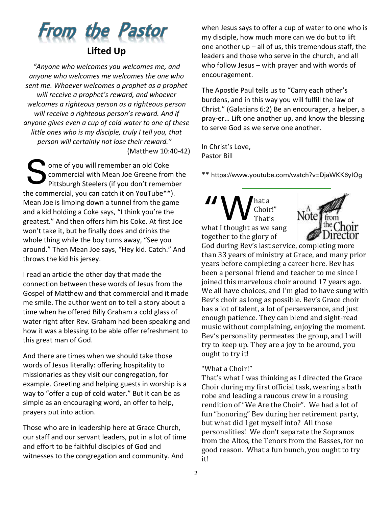

*"Anyone who welcomes you welcomes me, and anyone who welcomes me welcomes the one who sent me. Whoever welcomes a prophet as a prophet will receive a prophet's reward, and whoever welcomes a righteous person as a righteous person will receive a righteous person's reward. And if anyone gives even a cup of cold water to one of these little ones who is my disciple, truly I tell you, that person will certainly not lose their reward."* (Matthew 10:40-42)

ome of you will remember an old Coke commercial with Mean Joe Greene from the Pittsburgh Steelers (if you don't remember the commercial, you can catch it on YouTube\*\*). Mean Joe is limping down a tunnel from the game and a kid holding a Coke says, "I think you're the greatest." And then offers him his Coke. At first Joe won't take it, but he finally does and drinks the whole thing while the boy turns away, "See you around." Then Mean Joe says, "Hey kid. Catch." And throws the kid his jersey. S

I read an article the other day that made the connection between these words of Jesus from the Gospel of Matthew and that commercial and it made me smile. The author went on to tell a story about a time when he offered Billy Graham a cold glass of water right after Rev. Graham had been speaking and how it was a blessing to be able offer refreshment to this great man of God.

And there are times when we should take those words of Jesus literally: offering hospitality to missionaries as they visit our congregation, for example. Greeting and helping guests in worship is a way to "offer a cup of cold water." But it can be as simple as an encouraging word, an offer to help, prayers put into action.

Those who are in leadership here at Grace Church, our staff and our servant leaders, put in a lot of time and effort to be faithful disciples of God and witnesses to the congregation and community. And

when Jesus says to offer a cup of water to one who is my disciple, how much more can we do but to lift one another up  $-$  all of us, this tremendous staff, the leaders and those who serve in the church, and all who follow Jesus – with prayer and with words of encouragement.

The Apostle Paul tells us to "Carry each other's burdens, and in this way you will fulfill the law of Christ." (Galatians 6:2) Be an encourager, a helper, a pray-er… Lift one another up, and know the blessing to serve God as we serve one another.

In Christ's Love, Pastor Bill

\*\* <https://www.youtube.com/watch?v=DjaWKK6ylQg>

hat a Choir!" That's what I thought as we sang together to the glory of "W



God during Bev's last service, completing more than 33 years of ministry at Grace, and many prior years before completing a career here. Bev has been a personal friend and teacher to me since I joined this marvelous choir around 17 years ago. We all have choices, and I'm glad to have sung with Bev's choir as long as possible. Bev's Grace choir has a lot of talent, a lot of perseverance, and just enough patience. They can blend and sight-read music without complaining, enjoying the moment. Bev's personality permeates the group, and I will try to keep up. They are a joy to be around, you ought to try it!

#### "What a Choir!"

That's what I was thinking as I directed the Grace Choir during my first official task, wearing a bath robe and leading a raucous crew in a rousing rendition of "We Are the Choir". We had a lot of fun "honoring" Bev during her retirement party, but what did I get myself into? All those personalities! We don't separate the Sopranos from the Altos, the Tenors from the Basses, for no good reason. What a fun bunch, you ought to try it!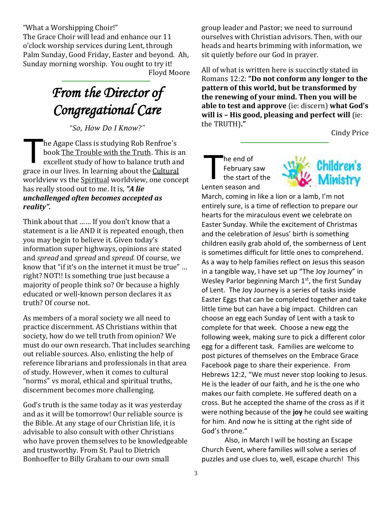"What a Worshipping Choir!"

The Grace Choir will lead and enhance our 11 o'clock worship services during Lent, through Palm Sunday, Good Friday, Easter and beyond. Ah, Sunday morning worship. You ought to try it! Floyd Moore

# *From the Director of Congregational Care*

*"So, How Do I Know?"*

he Agape Class is studying Rob Renfroe's book The Trouble with the Truth. This is an excellent study of how to balance truth and grace in our lives. In learning about the Cultural worldview vs the Spiritual worldview, one concept has really stood out to me. It is, *"A lie unchallenged often becomes accepted as reality".*  T

Think about that …… If you don't know that a statement is a lie AND it is repeated enough, then you may begin to believe it. Given today's information super highways, opinions are stated and *spread* and *spread* and *spread.* Of course, we know that "if it's on the internet it must be true" … right? NOT!! Is something true just because a majority of people think so? Or because a highly educated or well-known person declares it as truth? Of course not.

As members of a moral society we all need to practice discernment. AS Christians within that society, how do we tell truth from opinion? We must do our own research. That includes searching out reliable sources. Also, enlisting the help of reference librarians and professionals in that area of study. However, when it comes to cultural "norms" vs moral, ethical and spiritual truths, discernment becomes more challenging.

God's truth is the same today as it was yesterday and as it will be tomorrow! Our reliable source is the Bible. At any stage of our Christian life, it is advisable to also consult with other Christians who have proven themselves to be knowledgeable and trustworthy. From St. Paul to Dietrich Bonhoeffer to Billy Graham to our own small

group leader and Pastor; we need to surround ourselves with Christian advisors. Then, with our heads and hearts brimming with information, we sit quietly before our God in prayer.

All of what is written here is succinctly stated in Romans 12:2: **"Do not conform any longer to the pattern of this world, but be transformed by the renewing of your mind. Then you will be able to test and approve** (ie: discern) **what God's will is – His good, pleasing and perfect will** (ie: the TRUTH)**."**

Cindy Price

#### he end of February saw the start of the Lenten season and T



March, coming in like a lion or a lamb, I'm not entirely sure, is a time of reflection to prepare our hearts for the miraculous event we celebrate on Easter Sunday. While the excitement of Christmas and the celebration of Jesus' birth is something children easily grab ahold of, the somberness of Lent is sometimes difficult for little ones to comprehend. As a way to help families reflect on Jesus this season in a tangible way, I have set up "The Joy Journey" in Wesley Parlor beginning March  $1<sup>st</sup>$ , the first Sunday of Lent. The Joy Journey is a series of tasks inside Easter Eggs that can be completed together and take little time but can have a big impact. Children can choose an egg each Sunday of Lent with a task to complete for that week. Choose a new egg the following week, making sure to pick a different color egg for a different task. Families are welcome to post pictures of themselves on the Embrace Grace Facebook page to share their experience. From Hebrews 12:2, "We must never stop looking to Jesus. He is the leader of our faith, and he is the one who makes our faith complete. He suffered death on a cross. But he accepted the shame of the cross as if it were nothing because of the **joy** he could see waiting for him. And now he is sitting at the right side of God's throne."

Also, in March I will be hosting an Escape Church Event, where families will solve a series of puzzles and use clues to, well, escape church! This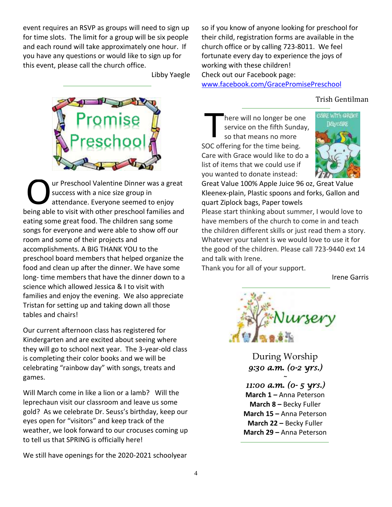event requires an RSVP as groups will need to sign up for time slots. The limit for a group will be six people and each round will take approximately one hour. If you have any questions or would like to sign up for this event, please call the church office.

Libby Yaegle

so if you know of anyone looking for preschool for their child, registration forms are available in the church office or by calling 723-8011. We feel fortunate every day to experience the joys of working with these children! Check out our Facebook page: [www.facebook.com/GracePromisePreschool](http://www.facebook.com/GracePromisePreschool)

#### Trish Gentilman



ur Preschool Valentine Dinner was a great success with a nice size group in attendance. Everyone seemed to enjoy being able to visit with other preschool families and eating some great food. The children sang some songs for everyone and were able to show off our room and some of their projects and accomplishments. A BIG THANK YOU to the preschool board members that helped organize the food and clean up after the dinner. We have some long- time members that have the dinner down to a science which allowed Jessica & I to visit with families and enjoy the evening. We also appreciate Tristan for setting up and taking down all those tables and chairs! O

Our current afternoon class has registered for Kindergarten and are excited about seeing where they will go to school next year. The 3-year-old class is completing their color books and we will be celebrating "rainbow day" with songs, treats and games.

Will March come in like a lion or a lamb? Will the leprechaun visit our classroom and leave us some gold? As we celebrate Dr. Seuss's birthday, keep our eyes open for "visitors" and keep track of the weather, we look forward to our crocuses coming up to tell us that SPRING is officially here!

We still have openings for the 2020-2021 schoolyear

here will no longer be one service on the fifth Sunday, so that means no more SOC offering for the time being. Care with Grace would like to do a list of items that we could use if you wanted to donate instead: T



Great Value 100% Apple Juice 96 oz, Great Value Kleenex-plain, Plastic spoons and forks, Gallon and quart Ziplock bags, Paper towels

Please start thinking about summer, I would love to have members of the church to come in and teach the children different skills or just read them a story. Whatever your talent is we would love to use it for the good of the children. Please call 723-9440 ext 14 and talk with Irene.

Thank you for all of your support.

Irene Garris



During Worship *9:30 a.m. (0-2 yrs.)* 

*~* 

*11:00 a.m. (0- 5 yrs.)*  **March 1** *–* Anna Peterson **March 8 –** Becky Fuller **March 15 –** Anna Peterson **March 22 –** Becky Fuller **March 29 –** Anna Peterson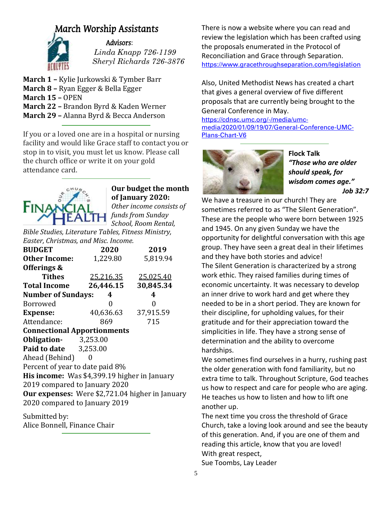# March Worship Assistants



### Advisors:

 *Linda Knapp 726-1199 Sheryl Richards 726-3876*

**March 1 –** Kylie Jurkowski & Tymber Barr **March 8 –** Ryan Egger & Bella Egger **March 15 –** OPEN **March 22 –** Brandon Byrd & Kaden Werner **March 29 –** Alanna Byrd & Becca Anderson

If you or a loved one are in a hospital or nursing facility and would like Grace staff to contact you or stop in to visit, you must let us know. Please call the church office or write it on your gold attendance card.



### **Our budget the month of January 2020:** *Other income consists of*

*funds from Sunday School, Room Rental,* 

*Bible Studies, Literature Tables, Fitness Ministry, Easter, Christmas, and Misc. Income.*

| <b>BUDGET</b>                                          | 2020             | 2019      |  |  |  |  |  |  |
|--------------------------------------------------------|------------------|-----------|--|--|--|--|--|--|
| <b>Other Income:</b>                                   | 1,229.80         | 5,819.94  |  |  |  |  |  |  |
| Offerings &                                            |                  |           |  |  |  |  |  |  |
| <b>Tithes</b>                                          | <u>25,216.35</u> | 25,025.40 |  |  |  |  |  |  |
| <b>Total Income</b>                                    | 26,446.15        | 30,845.34 |  |  |  |  |  |  |
| <b>Number of Sundays:</b>                              | 4                | 4         |  |  |  |  |  |  |
| Borrowed                                               | 0                | 0         |  |  |  |  |  |  |
| <b>Expense:</b>                                        | 40,636.63        | 37,915.59 |  |  |  |  |  |  |
| Attendance:                                            | 869              | 715       |  |  |  |  |  |  |
| <b>Connectional Apportionments</b>                     |                  |           |  |  |  |  |  |  |
| <b>Obligation-</b> 3,253.00                            |                  |           |  |  |  |  |  |  |
| <b>Paid to date</b> 3,253.00                           |                  |           |  |  |  |  |  |  |
| Ahead (Behind)                                         |                  |           |  |  |  |  |  |  |
| Percent of year to date paid 8%                        |                  |           |  |  |  |  |  |  |
| His income: Was \$4,399.19 higher in January           |                  |           |  |  |  |  |  |  |
| 2019 compared to January 2020                          |                  |           |  |  |  |  |  |  |
| <b>Our expenses:</b> Were \$2,721.04 higher in January |                  |           |  |  |  |  |  |  |
| 2020 compared to January 2019                          |                  |           |  |  |  |  |  |  |

Submitted by: Alice Bonnell, Finance Chair There is now a website where you can read and review the legislation which has been crafted using the proposals enumerated in the Protocol of Reconciliation and Grace through Separation. <https://www.gracethroughseparation.com/legislation>

Also, United Methodist News has created a chart that gives a general overview of five different proposals that are currently being brought to the General Conference in May.

[https://cdnsc.umc.org/-/media/umc](https://cdnsc.umc.org/-/media/umc-media/2020/01/09/19/07/General-Conference-UMC-Plans-Chart-V6)[media/2020/01/09/19/07/General-Conference-UMC-](https://cdnsc.umc.org/-/media/umc-media/2020/01/09/19/07/General-Conference-UMC-Plans-Chart-V6)[Plans-Chart-V6](https://cdnsc.umc.org/-/media/umc-media/2020/01/09/19/07/General-Conference-UMC-Plans-Chart-V6)



**Flock Talk** *"Those who are older should speak, for wisdom comes age."*

*Job 32:7*

We have a treasure in our church! They are sometimes referred to as "The Silent Generation". These are the people who were born between 1925 and 1945. On any given Sunday we have the opportunity for delightful conversation with this age group. They have seen a great deal in their lifetimes and they have both stories and advice! The Silent Generation is characterized by a strong work ethic. They raised families during times of economic uncertainty. It was necessary to develop an inner drive to work hard and get where they needed to be in a short period. They are known for their discipline, for upholding values, for their gratitude and for their appreciation toward the simplicities in life. They have a strong sense of determination and the ability to overcome hardships.

We sometimes find ourselves in a hurry, rushing past the older generation with fond familiarity, but no extra time to talk. Throughout Scripture, God teaches us how to respect and care for people who are aging. He teaches us how to listen and how to lift one another up.

The next time you cross the threshold of Grace Church, take a loving look around and see the beauty of this generation. And, if you are one of them and reading this article, know that you are loved! With great respect, Sue Toombs, Lay Leader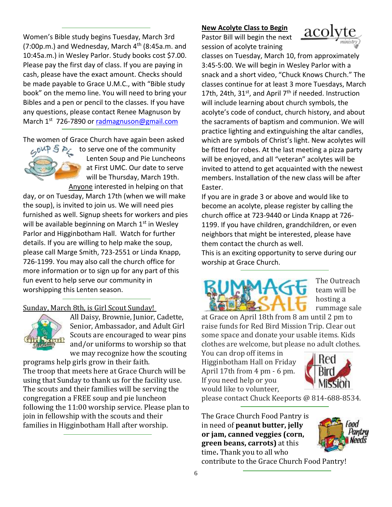Women's Bible study begins Tuesday, March 3rd (7:00p.m.) and Wednesday, March  $4<sup>th</sup>$  (8:45a.m. and 10:45a.m.) in Wesley Parlor. Study books cost \$7.00. Please pay the first day of class. If you are paying in cash, please have the exact amount. Checks should be made payable to Grace U.M.C., with "Bible study book" on the memo line. You will need to bring your Bibles and a pen or pencil to the classes. If you have any questions, please contact Renee Magnuson by March 1<sup>st</sup> 726-7890 or [radmagnuson@gmail.com](mailto:radmagnuson@gmail.com)

The women of Grace Church have again been asked



 $\mathfrak{S} \rightarrow$  to serve one of the community Lenten Soup and Pie Luncheons at First UMC. Our date to serve will be Thursday, March 19th. Anyone interested in helping on that

day, or on Tuesday, March 17th (when we will make the soup), is invited to join us. We will need pies furnished as well. Signup sheets for workers and pies will be available beginning on March  $1<sup>st</sup>$  in Wesley Parlor and Higginbotham Hall. Watch for further details. If you are willing to help make the soup, please call Marge Smith, 723-2551 or Linda Knapp, 726-1199. You may also call the church office for more information or to sign up for any part of this fun event to help serve our community in worshipping this Lenten season.

Sunday, March 8th, is Girl Scout Sunday!



All Daisy, Brownie, Junior, Cadette, Senior, Ambassador, and Adult Girl Scouts are encouraged to wear pins and/or uniforms to worship so that we may recognize how the scouting

programs help girls grow in their faith. The troop that meets here at Grace Church will be using that Sunday to thank us for the facility use. The scouts and their families will be serving the congregation a FREE soup and pie luncheon following the 11:00 worship service. Please plan to join in fellowship with the scouts and their families in Higginbotham Hall after worship.

### **New Acolyte Class to Begin**

Pastor Bill will begin the next session of acolyte training



classes on Tuesday, March 10, from approximately 3:45-5:00. We will begin in Wesley Parlor with a snack and a short video, "Chuck Knows Church." The classes continue for at least 3 more Tuesdays, March 17th, 24th,  $31^{st}$ , and April 7<sup>th</sup> if needed. Instruction will include learning about church symbols, the acolyte's code of conduct, church history, and about the sacraments of baptism and communion. We will practice lighting and extinguishing the altar candles, which are symbols of Christ's light. New acolytes will be fitted for robes. At the last meeting a pizza party will be enjoyed, and all "veteran" acolytes will be invited to attend to get acquainted with the newest members. Installation of the new class will be after Easter.

If you are in grade 3 or above and would like to become an acolyte, please register by calling the church office at 723-9440 or Linda Knapp at 726- 1199. If you have children, grandchildren, or even neighbors that might be interested, please have them contact the church as well.

This is an exciting opportunity to serve during our worship at Grace Church.



The Outreach team will be hosting a rummage sale

at Grace on April 18th from 8 am until 2 pm to raise funds for Red Bird Mission Trip. Clear out some space and donate your usable items. Kids clothes are welcome, but please no adult clothes.

You can drop off items in Higginbotham Hall on Friday April 17th from 4 pm - 6 pm. If you need help or you would like to volunteer,



please contact Chuck Keeports @ 814-688-8534.

The Grace Church Food Pantry is in need of **peanut butter, jelly or jam, canned veggies (corn, green beans, carrots)** at this time**.** Thank you to all who



contribute to the Grace Church Food Pantry!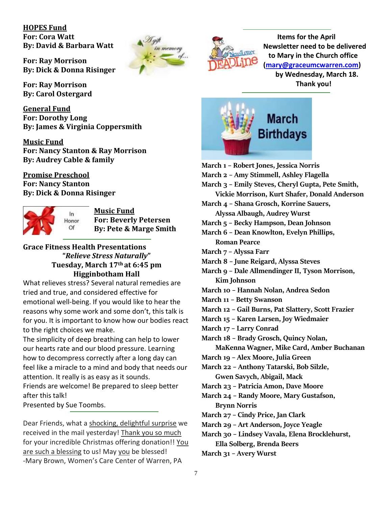**HOPES Fund For: Cora Watt By: David & Barbara Watt**

**For: Ray Morrison By: Dick & Donna Risinger**

**For: Ray Morrison By: Carol Ostergard**

**General Fund For: Dorothy Long By: James & Virginia Coppersmith**

**Music Fund For: Nancy Stanton & Ray Morrison By: Audrey Cable & family**

**Promise Preschool For: Nancy Stanton By: Dick & Donna Risinger**



**Music Fund For: Beverly Petersen By: Pete & Marge Smith**

### **Grace Fitness Health Presentations "***Relieve Stress Naturally***" Tuesday, March 17th at 6:45 pm Higginbotham Hall**

What relieves stress? Several natural remedies are tried and true, and considered effective for emotional well-being. If you would like to hear the reasons why some work and some don't, this talk is for you. It is important to know how our bodies react to the right choices we make.

The simplicity of deep breathing can help to lower our hearts rate and our blood pressure. Learning how to decompress correctly after a long day can feel like a miracle to a mind and body that needs our attention. It really is as easy as it sounds.

Friends are welcome! Be prepared to sleep better after this talk!

Presented by Sue Toombs.

Dear Friends, what a shocking, delightful surprise we received in the mail yesterday! Thank you so much for your incredible Christmas offering donation!! You are such a blessing to us! May you be blessed! -Mary Brown, Women's Care Center of Warren, PA



memory

 **Items for the April Newsletter need to be delivered to Mary in the Church office [\(mary@graceumcwarren.com\)](mailto:mary@graceumcwarren.com) by Wednesday, March 18. Thank you!**



**March 1 – Robert Jones, Jessica Norris March 2 – Amy Stimmell, Ashley Flagella March 3 – Emily Steves, Cheryl Gupta, Pete Smith, Vickie Morrison, Kurt Shafer, Donald Anderson March 4 – Shana Grosch, Korrine Sauers, Alyssa Albaugh, Audrey Wurst March 5 – Becky Hampson, Dean Johnson March 6 – Dean Knowlton, Evelyn Phillips, Roman Pearce March 7 – Alyssa Farr March 8 – June Reigard, Alyssa Steves March 9 – Dale Allmendinger II, Tyson Morrison, Kim Johnson March 10 – Hannah Nolan, Andrea Sedon March 11 – Betty Swanson March 12 – Gail Burns, Pat Slattery, Scott Frazier March 15 – Karen Larsen, Joy Wiedmaier March 17 – Larry Conrad March 18 – Brady Grosch, Quincy Nolan, MaKenna Wagner, Mike Card, Amber Buchanan March 19 – Alex Moore, Julia Green March 22 – Anthony Tatarski, Bob Silzle, Gwen Savych, Abigail, Mack March 23 – Patricia Amon, Dave Moore March 24 – Randy Moore, Mary Gustafson, Brynn Norris March 27 – Cindy Price, Jan Clark March 29 – Art Anderson, Joyce Yeagle March 30 – Lindsey Vavala, Elena Brocklehurst, Ella Solberg, Brenda Beers**

**March 31 – Avery Wurst**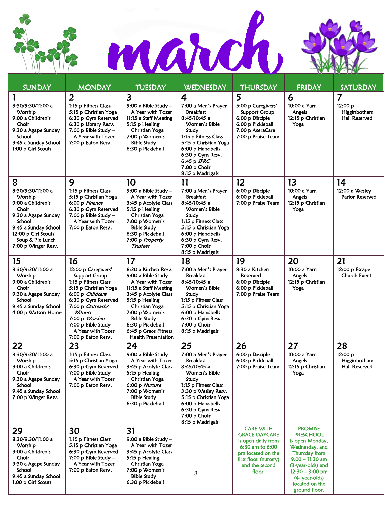í



| <b>SUNDAY</b>                                                                                                                                                                               | <b>MONDAY</b>                                                                                                                                                                                                                                              | <b>TUESDAY</b>                                                                                                                                                                                                                                                                  | <b>WEDNESDAY</b>                                                                                                                                                                                                                                  | <b>THURSDAY</b>                                                                                                                                             | <b>FRIDAY</b>                                                                                                                                                                                                    | <b>SATURDAY</b>                                                   |
|---------------------------------------------------------------------------------------------------------------------------------------------------------------------------------------------|------------------------------------------------------------------------------------------------------------------------------------------------------------------------------------------------------------------------------------------------------------|---------------------------------------------------------------------------------------------------------------------------------------------------------------------------------------------------------------------------------------------------------------------------------|---------------------------------------------------------------------------------------------------------------------------------------------------------------------------------------------------------------------------------------------------|-------------------------------------------------------------------------------------------------------------------------------------------------------------|------------------------------------------------------------------------------------------------------------------------------------------------------------------------------------------------------------------|-------------------------------------------------------------------|
| 8:30/9:30/11:00 a<br>Worship<br>9:00 a Children's<br>Choir<br>9:30 a Agape Sunday<br>School<br>9:45 a Sunday School<br>1:00 p Girl Scouts                                                   | 2<br>1:15 p Fitness Class<br>5:15 p Christian Yoga<br>6:30 p Gym Reserved<br>6:30 p Library Resv.<br>7:00 p Bible Study $-$<br>A Year with Tozer<br>7:00 p Eaton Resv.                                                                                     | 3<br>9:00 a Bible Study -<br>A Year with Tozer<br>11:15 a Staff Meeting<br>5:15 p Healing<br>Christian Yoga<br>7:00 p Women's<br><b>Bible Study</b><br>6:30 p Pickleball                                                                                                        | $\overline{4}$<br>7:00 a Men's Prayer<br><b>Breakfast</b><br>8:45/10:45 a<br>Women's Bible<br>Study<br>1:15 p Fitness Class<br>5:15 p Christian Yoga<br>6:00 p Handbells<br>6:30 p Gym Resv.<br>6:45 p $SPRC$<br>7:00 p Choir<br>8:15 p Madrigals | 5<br>5:00 p Caregivers'<br><b>Support Group</b><br>6:00 p Disciple<br>6:00 p Pickleball<br>7:00 p AseraCare<br>7:00 p Praise Team                           | 6<br>10:00 a Yarn<br>Angels<br>12:15 p Christian<br>Yoga                                                                                                                                                         | $\overline{7}$<br>12:00 p<br>Higginbotham<br><b>Hall Reserved</b> |
| 8<br>8:30/9:30/11:00 a<br>Worship<br>9:00 a Children's<br>Choir<br>9:30 a Agape Sunday<br>School<br>9:45 a Sunday School<br>12:00 p Girl Scouts'<br>Soup & Pie Lunch<br>7:00 p Winger Resv. | 9<br>1:15 p Fitness Class<br>5:15 p Christian Yoga<br>6:00 p Finance<br>6:30 p Gym Reserved<br>$7:00$ p Bible Study -<br>A Year with Tozer<br>7:00 p Eaton Resv.                                                                                           | 10<br>9:00 a Bible Study -<br>A Year with Tozer<br>3:45 p Acolyte Class<br>5:15 p Healing<br>Christian Yoga<br>7:00 p Women's<br><b>Bible Study</b><br>6:30 p Pickleball<br>7:00 p Property<br><b>Trustees</b>                                                                  | 11<br>7:00 a Men's Prayer<br><b>Breakfast</b><br>8:45/10:45 a<br>Women's Bible<br>Study<br>1:15 p Fitness Class<br>5:15 p Christian Yoga<br>6:00 p Handbells<br>6:30 p Gym Resv.<br>7:00 p Choir<br>8:15 p Madrigals                              | 12<br>6:00 p Disciple<br>6:00 p Pickleball<br>7:00 p Praise Team                                                                                            | 13<br>10:00 a Yarn<br>Angels<br>12:15 p Christian<br>Yoga                                                                                                                                                        | 14<br>12:00 a Wesley<br>Parlor Reserved                           |
| 15<br>8:30/9:30/11:00 a<br>Worship<br>9:00 a Children's<br>Choir<br>9:30 a Agape Sunday<br>School<br>9:45 a Sunday School<br>4:00 p Watson Home                                             | 16<br>12:00 p Caregivers'<br>Support Group<br>1:15 p Fitness Class<br>5:15 p Christian Yoga<br>6:00 p Childcare<br>6:30 p Gym Reserved<br>7:00 p Outreach/<br>Witness<br>7:00 p Worship<br>7:00 p Bible Study -<br>A Year with Tozer<br>7:00 p Eaton Resv. | 17<br>8:30 a Kitchen Resv.<br>9:00 a Bible Study -<br>A Year with Tozer<br>11:15 a Staff Meeting<br>3:45 p Acolyte Class<br>5:15 p Healing<br>Christian Yoga<br>7:00 p Women's<br><b>Bible Study</b><br>6:30 p Pickleball<br>6:45 p Grace Fitness<br><b>Health Presentation</b> | 18<br>7:00 a Men's Prayer<br><b>Breakfast</b><br>8:45/10:45 a<br>Women's Bible<br>Study<br>1:15 p Fitness Class<br>5:15 p Christian Yoga<br>6:00 p Handbells<br>6:30 p Gym Resv.<br>7:00 p Choir<br>8:15 p Madrigals                              | 19<br>8:30 a Kitchen<br>Reserved<br>6:00 p Disciple<br>6:00 p Pickleball<br>7:00 p Praise Team                                                              | 20<br>10:00 a Yarn<br>Angels<br>12:15 p Christian<br>Yoga                                                                                                                                                        | 21<br>12:00 p Escape<br>Church Event                              |
| 22<br>8:30/9:30/11:00 a<br>Worship<br>9:00 a Children's<br>Choir<br>9:30 a Agape Sunday<br>School<br>9:45 a Sunday School<br>7:00 p Winger Resv.                                            | 23<br>1:15 p Fitness Class<br>5:15 p Christian Yoga<br>6:30 p Gym Reserved<br>$7:00$ p Bible Study -<br>A Year with Tozer<br>7:00 p Eaton Resv.                                                                                                            | 24<br>9:00 a Bible Study -<br>A Year with Tozer<br>3:45 p Acolyte Class<br>5:15 p Healing<br>Christian Yoga<br>6:00 p Nurture<br>7:00 p Women's<br><b>Bible Study</b><br>6:30 p Pickleball                                                                                      | 25<br>7:00 a Men's Prayer<br><b>Breakfast</b><br>8:45/10:45 a<br>Women's Bible<br>Study<br>1:15 p Fitness Class<br>3:30 p Wesley Resv.<br>5:15 p Christian Yoga<br>6:00 p Handbells<br>6:30 p Gym Resv.<br>7:00 p Choir<br>8:15 p Madrigals       | 26<br>6:00 p Disciple<br>6:00 p Pickleball<br>7:00 p Praise Team                                                                                            | 27<br>10:00 a Yarn<br>Angels<br>12:15 p Christian<br>Yoga                                                                                                                                                        | 28<br>12:00 p<br>Higginbotham<br>Hall Reserved                    |
| 29<br>8:30/9:30/11:00 a<br>Worship<br>9:00 a Children's<br>Choir<br>9:30 a Agape Sunday<br>School<br>9:45 a Sunday School<br>1:00 p Girl Scouts                                             | 30<br>1:15 p Fitness Class<br>5:15 p Christian Yoga<br>6:30 p Gym Reserved<br>$7:00$ p Bible Study -<br>A Year with Tozer<br>7:00 p Eaton Resv.                                                                                                            | 31<br>9:00 a Bible Study -<br>A Year with Tozer<br>3:45 p Acolyte Class<br>5:15 p Healing<br>Christian Yoga<br>7:00 p Women's<br><b>Bible Study</b><br>6:30 p Pickleball                                                                                                        | 8                                                                                                                                                                                                                                                 | <b>CARE WITH</b><br><b>GRACE DAYCARE</b><br>is open daily from<br>6:30 am to 6:00<br>pm located on the<br>first floor (nursery)<br>and the second<br>floor. | <b>PROMISE</b><br><b>PRESCHOOL</b><br>is open Monday,<br>Wednesday, and<br>Thursday from<br>$9:00 - 11:30$ am<br>(3-year-olds) and<br>$12:30 - 3:00$ pm<br>$(4 - year - old)$<br>located on the<br>ground floor. |                                                                   |